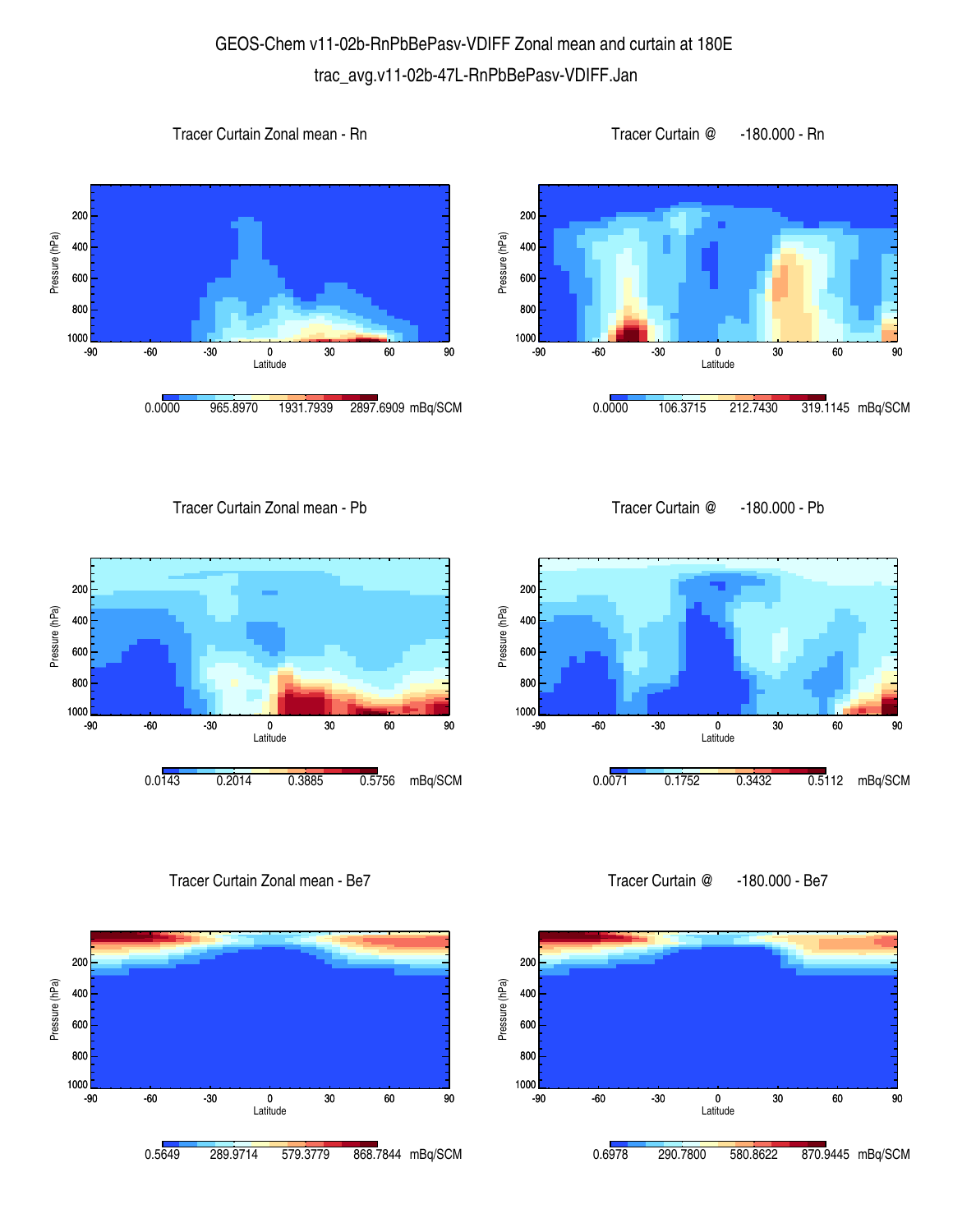## GEOS-Chem v11-02b-RnPbBePasv-VDIFF Zonal mean and curtain at 180E trac\_avg.v11-02b-47L-RnPbBePasv-VDIFF.Jan







1000 <mark>L</mark><br>-90

800 600

400

Pressure (hPa)

Pressure (hPa)

200

Tracer Curtain Zonal mean - Pb

Tracer Curtain @ -180.000 - Pb



Tracer Curtain Zonal mean - Be7



Tracer Curtain @ -180.000 - Be7

-90 -60 -30 0 30 60 90 Latitude

0.0071 0.1752 0.3432 0.5112 mBq/SCM